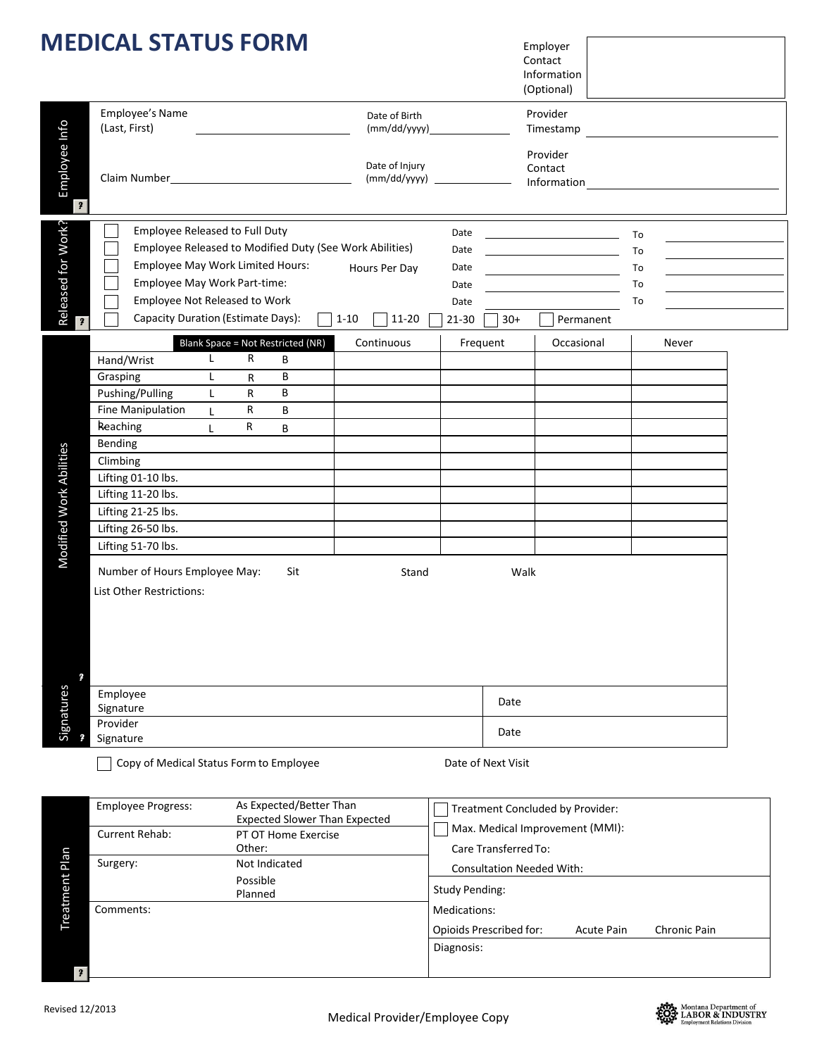|                             | <b>MEDICAL STATUS FORM</b>                                                                                                                                                                                                                                                                                                   |                               |                                                                 |          |                                    |                                               |                                                          | Employer<br>Contact<br>Information<br>(Optional) |                                                                                                 |                            |                                                                                                                        |
|-----------------------------|------------------------------------------------------------------------------------------------------------------------------------------------------------------------------------------------------------------------------------------------------------------------------------------------------------------------------|-------------------------------|-----------------------------------------------------------------|----------|------------------------------------|-----------------------------------------------|----------------------------------------------------------|--------------------------------------------------|-------------------------------------------------------------------------------------------------|----------------------------|------------------------------------------------------------------------------------------------------------------------|
|                             | Employee's Name<br>(Last, First)                                                                                                                                                                                                                                                                                             |                               |                                                                 |          | Date of Birth                      |                                               |                                                          | Provider                                         | Timestamp                                                                                       |                            | <u> 1989 - Johann Barn, mars ann an t-Amhain ann an t-Amhain an t-Amhain an t-Amhain an t-Amhain an t-Amhain an t-</u> |
| Employee Info<br>$\sqrt{2}$ | Claim Number 2020                                                                                                                                                                                                                                                                                                            |                               |                                                                 |          | Date of Injury<br>$(mm/dd/yyyy)$ _ |                                               |                                                          | Provider<br>Contact                              |                                                                                                 |                            |                                                                                                                        |
| Released for Work?          | <b>Employee Released to Full Duty</b><br>Employee Released to Modified Duty (See Work Abilities)<br>Employee May Work Limited Hours:<br>Employee May Work Part-time:<br>Employee Not Released to Work<br>Capacity Duration (Estimate Days):                                                                                  |                               |                                                                 | $1 - 10$ | Hours Per Day<br>11-20             | Date<br>Date<br>Date<br>Date<br>Date<br>21-30 | $30+$                                                    |                                                  | <u> 1989 - Johann Barbara, martin a</u><br><u> 1989 - Johann Barbara, martxa a</u><br>Permanent | To<br>To<br>To<br>To<br>To | the control of the control of the control of<br><u> 1989 - Johann Barn, mars ann an t-</u>                             |
| ?                           |                                                                                                                                                                                                                                                                                                                              |                               | Blank Space = Not Restricted (NR)                               |          | Continuous                         |                                               | Frequent                                                 |                                                  | Occasional                                                                                      |                            | Never                                                                                                                  |
| Modified Work Abilities     | $\mathsf{L}$<br>Hand/Wrist<br>Grasping<br>L<br>Pushing/Pulling<br>L<br>Fine Manipulation<br>L<br>Reaching<br>L<br>Bending<br>Climbing<br>Lifting 01-10 lbs.<br>Lifting 11-20 lbs.<br>Lifting 21-25 lbs.<br>Lifting 26-50 lbs.<br>Lifting 51-70 lbs.<br>Number of Hours Employee May:<br>List Other Restrictions:<br>Employee | R<br>R<br>R<br>R<br>R         | В<br>В<br>В<br>B<br>В<br>Sit                                    |          | Stand                              |                                               |                                                          | Walk                                             |                                                                                                 |                            |                                                                                                                        |
| Signatures                  | Signature<br>Provider                                                                                                                                                                                                                                                                                                        |                               |                                                                 |          |                                    |                                               | Date<br>Date                                             |                                                  |                                                                                                 |                            |                                                                                                                        |
|                             |                                                                                                                                                                                                                                                                                                                              |                               |                                                                 |          |                                    |                                               |                                                          |                                                  |                                                                                                 |                            |                                                                                                                        |
|                             | Signature<br>Copy of Medical Status Form to Employee                                                                                                                                                                                                                                                                         |                               |                                                                 |          |                                    | Date of Next Visit                            |                                                          |                                                  |                                                                                                 |                            |                                                                                                                        |
|                             | Employee Progress:                                                                                                                                                                                                                                                                                                           |                               | As Expected/Better Than<br><b>Expected Slower Than Expected</b> |          |                                    |                                               |                                                          |                                                  | Treatment Concluded by Provider:                                                                |                            |                                                                                                                        |
|                             | Current Rehab:                                                                                                                                                                                                                                                                                                               |                               | PT OT Home Exercise                                             |          |                                    |                                               |                                                          |                                                  | Max. Medical Improvement (MMI):                                                                 |                            |                                                                                                                        |
| <b>Treatment Plan</b>       | Surgery:                                                                                                                                                                                                                                                                                                                     | Other:<br>Possible<br>Planned | Not Indicated                                                   |          |                                    | <b>Study Pending:</b>                         | Care Transferred To:<br><b>Consultation Needed With:</b> |                                                  |                                                                                                 |                            |                                                                                                                        |

*?* 

Opioids Prescribed for: Acute Pain Chronic Pain

Diagnosis:

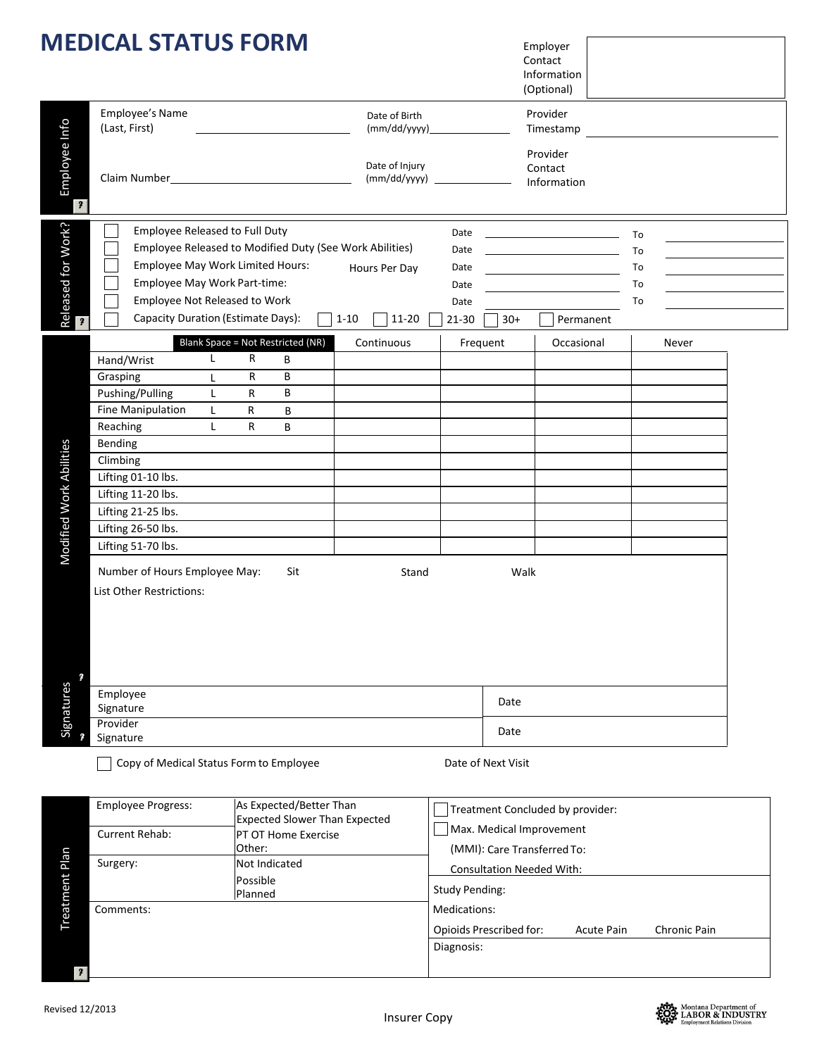|                            | <b>MEDICAL STATUS FORM</b>                                                                                                                                                                                                                                                                             |                                                                                             |                                        |                                                           |                                                                       | Employer<br>Contact<br>Information<br>(Optional)                                                          |                                                                 |  |  |
|----------------------------|--------------------------------------------------------------------------------------------------------------------------------------------------------------------------------------------------------------------------------------------------------------------------------------------------------|---------------------------------------------------------------------------------------------|----------------------------------------|-----------------------------------------------------------|-----------------------------------------------------------------------|-----------------------------------------------------------------------------------------------------------|-----------------------------------------------------------------|--|--|
|                            | Employee's Name<br>(Last, First)                                                                                                                                                                                                                                                                       |                                                                                             | Date of Birth                          |                                                           |                                                                       | Provider<br>Timestamp                                                                                     |                                                                 |  |  |
| Employee Info<br>$\pmb{?}$ |                                                                                                                                                                                                                                                                                                        |                                                                                             | Date of Injury<br>(mm/dd/yyyy)         |                                                           |                                                                       | Provider<br>Contact<br>Information                                                                        |                                                                 |  |  |
| Released for Work?         | <b>Employee Released to Full Duty</b><br>Employee May Work Part-time:<br>Employee Not Released to Work<br>Capacity Duration (Estimate Days):                                                                                                                                                           | Employee Released to Modified Duty (See Work Abilities)<br>Employee May Work Limited Hours: | Hours Per Day<br>$1 - 10$<br>$11 - 20$ | Date<br>Date<br>Date<br>Date<br>Date<br>21-30             | $30+$                                                                 | <u> 1989 - Johann Barbara, martin a</u><br><u> 1989 - Johann Barbara, martxa alemaniar a</u><br>Permanent | To<br>To<br>To<br>To<br>and the control of the control of<br>To |  |  |
|                            |                                                                                                                                                                                                                                                                                                        | Blank Space = Not Restricted (NR)                                                           | Continuous                             |                                                           | Frequent                                                              | Occasional                                                                                                | Never                                                           |  |  |
| Modified Work Abilities    | L.<br>Hand/Wrist<br>Grasping<br>L<br>Pushing/Pulling<br>L<br>Fine Manipulation<br>L<br>Reaching<br>L<br>Bending<br>Climbing<br>Lifting 01-10 lbs.<br>Lifting 11-20 lbs.<br>Lifting 21-25 lbs.<br>Lifting 26-50 lbs.<br>Lifting 51-70 lbs.<br>Number of Hours Employee May:<br>List Other Restrictions: | R<br>В<br>B<br>R<br>B<br>R<br>R<br>B<br>R<br>В<br>Sit                                       | Stand                                  |                                                           |                                                                       | Walk                                                                                                      |                                                                 |  |  |
| Signatures                 | Employee<br>Signature<br>Provider<br>Signature                                                                                                                                                                                                                                                         |                                                                                             |                                        | Date<br>Date                                              |                                                                       |                                                                                                           |                                                                 |  |  |
|                            | Copy of Medical Status Form to Employee                                                                                                                                                                                                                                                                |                                                                                             |                                        |                                                           | Date of Next Visit                                                    |                                                                                                           |                                                                 |  |  |
| <b>Treatment Plan</b>      | Employee Progress:                                                                                                                                                                                                                                                                                     | As Expected/Better Than<br><b>Expected Slower Than Expected</b>                             |                                        |                                                           | Treatment Concluded by provider:                                      |                                                                                                           |                                                                 |  |  |
|                            | Current Rehab:                                                                                                                                                                                                                                                                                         | PT OT Home Exercise<br>Other:                                                               |                                        | Max. Medical Improvement<br>(MMI): Care Transferred To:   |                                                                       |                                                                                                           |                                                                 |  |  |
|                            | Surgery:                                                                                                                                                                                                                                                                                               | Not Indicated<br>Possible<br>Planned                                                        |                                        | <b>Consultation Needed With:</b><br><b>Study Pending:</b> |                                                                       |                                                                                                           |                                                                 |  |  |
|                            | Comments:                                                                                                                                                                                                                                                                                              |                                                                                             |                                        |                                                           | Medications:<br>Opioide Procesibod for:<br>Chronic Dain<br>Acuto Dain |                                                                                                           |                                                                 |  |  |

|                | <b>Expected Slower Than Expected</b> |                                                              |  |  |  |  |
|----------------|--------------------------------------|--------------------------------------------------------------|--|--|--|--|
| Current Rehab: | <b>PT OT Home Exercise</b>           | Max. Medical Improvement                                     |  |  |  |  |
|                | Other:                               | (MMI): Care Transferred To:                                  |  |  |  |  |
| Surgery:       | Not Indicated                        | <b>Consultation Needed With:</b>                             |  |  |  |  |
|                | <b>Possible</b><br>Planned           | Study Pending:                                               |  |  |  |  |
| Comments:      |                                      | Medications:                                                 |  |  |  |  |
|                |                                      | Opioids Prescribed for:<br>Chronic Pain<br><b>Acute Pain</b> |  |  |  |  |
|                |                                      | Diagnosis:                                                   |  |  |  |  |
| $\mathbf{2}$   |                                      |                                                              |  |  |  |  |

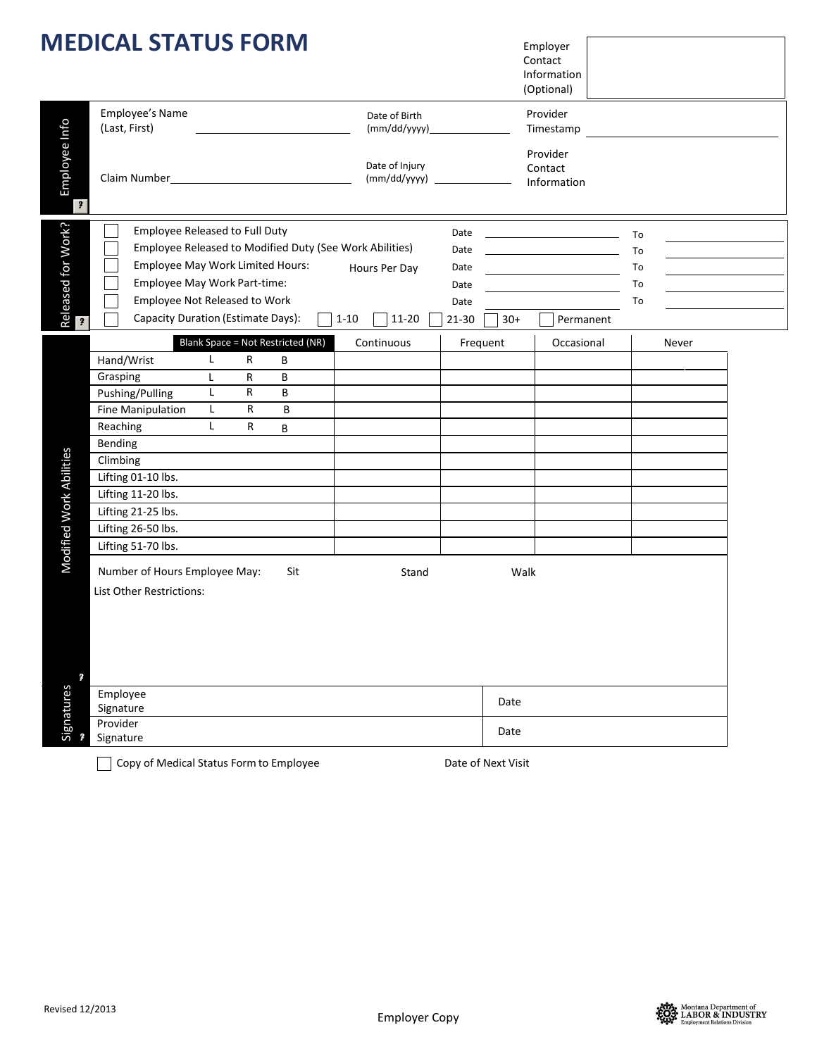|                                               | <b>MEDICAL STATUS FORM</b>                                                                                                                                                                                                                                                                                                                                                                                             |                                                                                     | Employer<br>Contact<br>Information<br>(Optional)                  |                                                                                               |  |  |
|-----------------------------------------------|------------------------------------------------------------------------------------------------------------------------------------------------------------------------------------------------------------------------------------------------------------------------------------------------------------------------------------------------------------------------------------------------------------------------|-------------------------------------------------------------------------------------|-------------------------------------------------------------------|-----------------------------------------------------------------------------------------------|--|--|
| Employee Info<br>$\overline{\mathbf{r}}$      | Employee's Name<br>(Last, First)                                                                                                                                                                                                                                                                                                                                                                                       | Date of Birth                                                                       | Provider<br>Timestamp                                             |                                                                                               |  |  |
|                                               | Claim Number 2020                                                                                                                                                                                                                                                                                                                                                                                                      | Date of Injury                                                                      | Provider<br>Contact<br>Information                                |                                                                                               |  |  |
| Released for Work?<br>$\overline{\mathbf{r}}$ | <b>Employee Released to Full Duty</b><br>Employee Released to Modified Duty (See Work Abilities)<br>Employee May Work Limited Hours:<br>Employee May Work Part-time:<br>Employee Not Released to Work<br>Capacity Duration (Estimate Days):                                                                                                                                                                            | Date<br>Date<br>Hours Per Day<br>Date<br>Date<br>Date<br>$1 - 10$<br>11-20<br>21-30 | <u> 1980 - Johann Barnett, fransk konge</u><br>$30+$<br>Permanent | To<br>To<br>To<br><u> 1989 - Johann Stein, mars an t-Amerikaansk ferskeider (</u><br>To<br>To |  |  |
| Modified Work Abilities                       | <b>Blank Space = Not Restricted (NR)</b><br>$\mathsf{L}$<br>Hand/Wrist<br>R<br>В<br>Grasping<br>R<br>B<br>L<br>R<br>Pushing/Pulling<br>В<br>L.<br>Fine Manipulation<br>L<br>R<br>B<br>Reaching<br>L<br>R<br>В<br>Bending<br>Climbing<br>Lifting 01-10 lbs.<br>Lifting 11-20 lbs.<br>Lifting 21-25 lbs.<br>Lifting 26-50 lbs.<br>Lifting 51-70 lbs.<br>Number of Hours Employee May:<br>Sit<br>List Other Restrictions: | Continuous<br>Stand                                                                 | Frequent<br>Occasional<br>Walk                                    | Never                                                                                         |  |  |
| 2<br>Signatures                               | Employee<br>Signature                                                                                                                                                                                                                                                                                                                                                                                                  |                                                                                     | Date                                                              |                                                                                               |  |  |
|                                               | Provider<br>Signature                                                                                                                                                                                                                                                                                                                                                                                                  | Date                                                                                |                                                                   |                                                                                               |  |  |

Copy of Medical Status Form to Employee Date of Next Visit



 $\frac{1}{1}$